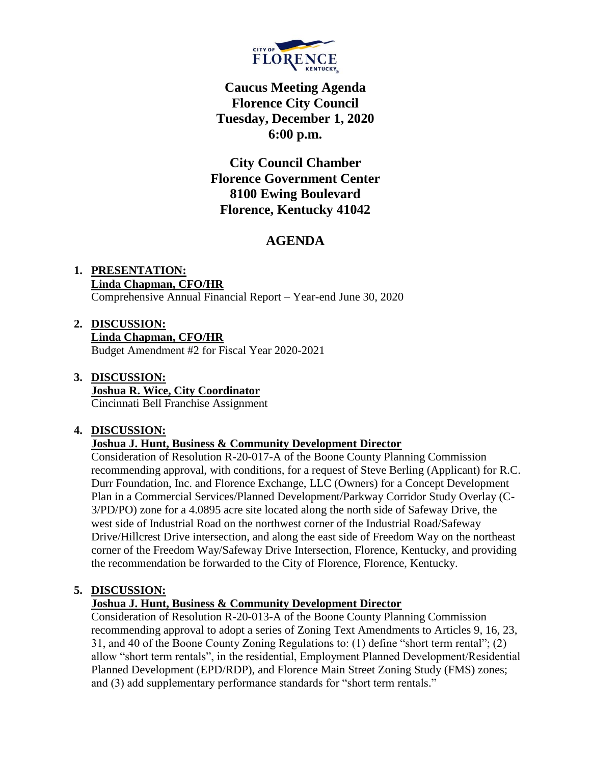

# **Caucus Meeting Agenda Florence City Council Tuesday, December 1, 2020 6:00 p.m.**

**City Council Chamber Florence Government Center 8100 Ewing Boulevard Florence, Kentucky 41042**

# **AGENDA**

# **1. PRESENTATION: Linda Chapman, CFO/HR**

Comprehensive Annual Financial Report – Year-end June 30, 2020

**2. DISCUSSION: Linda Chapman, CFO/HR** Budget Amendment #2 for Fiscal Year 2020-2021

#### **3. DISCUSSION: Joshua R. Wice, City Coordinator** Cincinnati Bell Franchise Assignment

### **4. DISCUSSION:**

### **Joshua J. Hunt, Business & Community Development Director**

Consideration of Resolution R-20-017-A of the Boone County Planning Commission recommending approval, with conditions, for a request of Steve Berling (Applicant) for R.C. Durr Foundation, Inc. and Florence Exchange, LLC (Owners) for a Concept Development Plan in a Commercial Services/Planned Development/Parkway Corridor Study Overlay (C-3/PD/PO) zone for a 4.0895 acre site located along the north side of Safeway Drive, the west side of Industrial Road on the northwest corner of the Industrial Road/Safeway Drive/Hillcrest Drive intersection, and along the east side of Freedom Way on the northeast corner of the Freedom Way/Safeway Drive Intersection, Florence, Kentucky, and providing the recommendation be forwarded to the City of Florence, Florence, Kentucky.

## **5. DISCUSSION:**

### **Joshua J. Hunt, Business & Community Development Director**

Consideration of Resolution R-20-013-A of the Boone County Planning Commission recommending approval to adopt a series of Zoning Text Amendments to Articles 9, 16, 23, 31, and 40 of the Boone County Zoning Regulations to: (1) define "short term rental"; (2) allow "short term rentals", in the residential, Employment Planned Development/Residential Planned Development (EPD/RDP), and Florence Main Street Zoning Study (FMS) zones; and (3) add supplementary performance standards for "short term rentals."